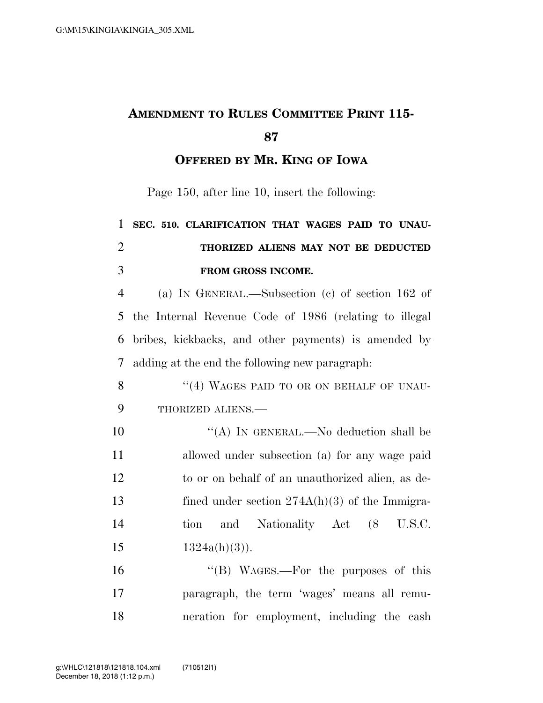## **AMENDMENT TO RULES COMMITTEE PRINT 115- 87**

**OFFERED BY MR. KING OF IOWA**

Page 150, after line 10, insert the following:

## 1 **SEC. 510. CLARIFICATION THAT WAGES PAID TO UNAU-**2 **THORIZED ALIENS MAY NOT BE DEDUCTED**  3 **FROM GROSS INCOME.**

 (a) IN GENERAL.—Subsection (c) of section 162 of the Internal Revenue Code of 1986 (relating to illegal bribes, kickbacks, and other payments) is amended by adding at the end the following new paragraph:

8 "(4) WAGES PAID TO OR ON BEHALF OF UNAU-9 THORIZED ALIENS.—

 $((A)$  In GENERAL.—No deduction shall be allowed under subsection (a) for any wage paid to or on behalf of an unauthorized alien, as de-13 fined under section  $274A(h)(3)$  of the Immigra- tion and Nationality Act (8 U.S.C.  $1324a(h)(3)$ .

16 "(B) WAGES.—For the purposes of this 17 paragraph, the term 'wages' means all remu-18 neration for employment, including the cash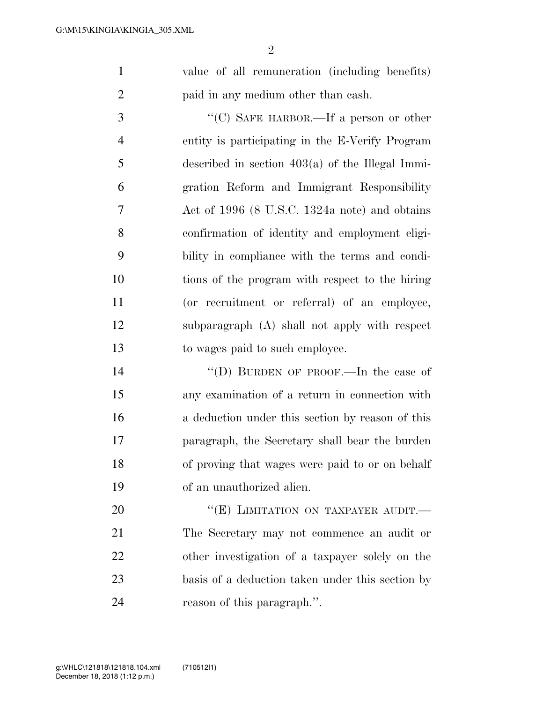value of all remuneration (including benefits) paid in any medium other than cash.

 ''(C) SAFE HARBOR.—If a person or other entity is participating in the E-Verify Program described in section 403(a) of the Illegal Immi- gration Reform and Immigrant Responsibility Act of 1996 (8 U.S.C. 1324a note) and obtains confirmation of identity and employment eligi- bility in compliance with the terms and condi- tions of the program with respect to the hiring (or recruitment or referral) of an employee, subparagraph (A) shall not apply with respect to wages paid to such employee.

 ''(D) BURDEN OF PROOF.—In the case of any examination of a return in connection with a deduction under this section by reason of this paragraph, the Secretary shall bear the burden of proving that wages were paid to or on behalf of an unauthorized alien.

20 "(E) LIMITATION ON TAXPAYER AUDIT. The Secretary may not commence an audit or other investigation of a taxpayer solely on the basis of a deduction taken under this section by reason of this paragraph.''.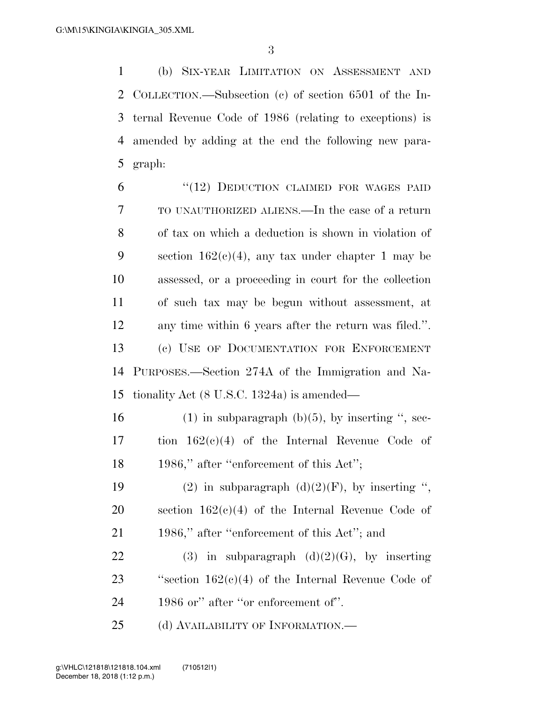(b) SIX-YEAR LIMITATION ON ASSESSMENT AND COLLECTION.—Subsection (c) of section 6501 of the In- ternal Revenue Code of 1986 (relating to exceptions) is amended by adding at the end the following new para-5 graph:

6 "(12) DEDUCTION CLAIMED FOR WAGES PAID TO UNAUTHORIZED ALIENS.—In the case of a return of tax on which a deduction is shown in violation of 9 section  $162(c)(4)$ , any tax under chapter 1 may be assessed, or a proceeding in court for the collection of such tax may be begun without assessment, at any time within 6 years after the return was filed.''. (c) USE OF DOCUMENTATION FOR ENFORCEMENT PURPOSES.—Section 274A of the Immigration and Na-tionality Act (8 U.S.C. 1324a) is amended—

16 (1) in subparagraph (b)(5), by inserting ", sec-17 tion 162(c)(4) of the Internal Revenue Code of 18 1986," after "enforcement of this Act";

19 (2) in subparagraph  $(d)(2)(F)$ , by inserting ", 20 section 162(c)(4) of the Internal Revenue Code of 21 1986," after "enforcement of this Act"; and

22 (3) in subparagraph  $(d)(2)(G)$ , by inserting 23 "section  $162(c)(4)$  of the Internal Revenue Code of 24 1986 or" after "or enforcement of".

25 (d) AVAILABILITY OF INFORMATION.—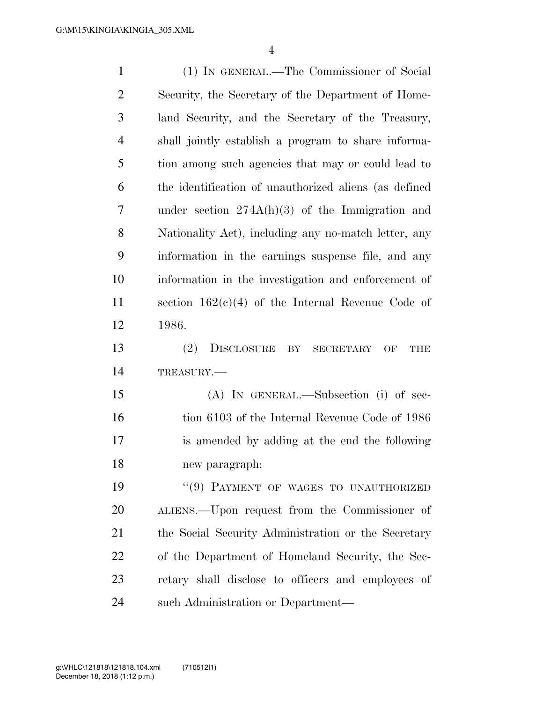| $\mathbf{1}$   | (1) IN GENERAL.—The Commissioner of Social                                        |
|----------------|-----------------------------------------------------------------------------------|
| $\overline{2}$ | Security, the Secretary of the Department of Home-                                |
| 3              | land Security, and the Secretary of the Treasury,                                 |
| $\overline{4}$ | shall jointly establish a program to share informa-                               |
| 5              | tion among such agencies that may or could lead to                                |
| 6              | the identification of unauthorized aliens (as defined                             |
| 7              | under section $274A(h)(3)$ of the Immigration and                                 |
| 8              | Nationality Act), including any no-match letter, any                              |
| 9              | information in the earnings suspense file, and any                                |
| 10             | information in the investigation and enforcement of                               |
| 11             | section $162(c)(4)$ of the Internal Revenue Code of                               |
| 12             | 1986.                                                                             |
| 13             | <sup>(2)</sup><br><b>DISCLOSURE</b><br>BY<br><b>SECRETARY</b><br>OF<br><b>THE</b> |
| 14             | TREASURY.                                                                         |
| 15             | $(A)$ In GENERAL.—Subsection (i) of sec-                                          |
| 16             | tion 6103 of the Internal Revenue Code of 1986                                    |
| 17             | is amended by adding at the end the following                                     |
| 18             | new paragraph:                                                                    |
| 19             | "(9) PAYMENT OF WAGES TO UNAUTHORIZED                                             |
| 20             | ALIENS.—Upon request from the Commissioner of                                     |
| 21             | the Social Security Administration or the Secretary                               |
| 22             | of the Department of Homeland Security, the Sec-                                  |
| 23             | retary shall disclose to officers and employees of                                |
| 24             | such Administration or Department—                                                |